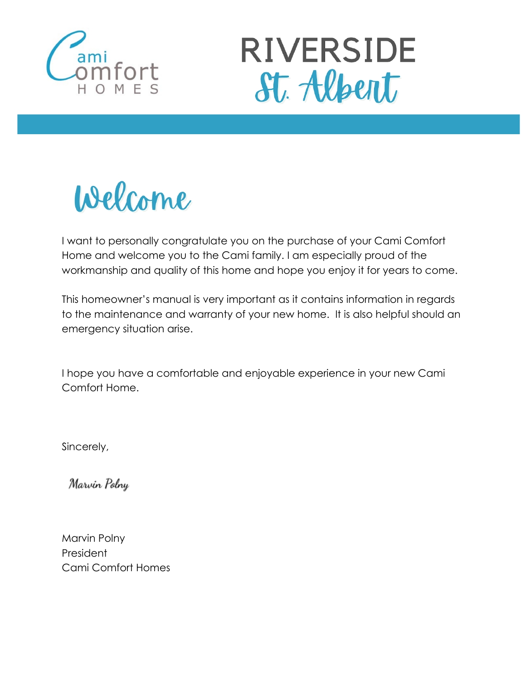



Welcome

I want to personally congratulate you on the purchase of your Cami Comfort Home and welcome you to the Cami family. I am especially proud of the workmanship and quality of this home and hope you enjoy it for years to come.

This homeowner's manual is very important as it contains information in regards to the maintenance and warranty of your new home. It is also helpful should an emergency situation arise.

I hope you have a comfortable and enjoyable experience in your new Cami Comfort Home.

Sincerely,

Marvin Polny

Marvin Polny President Cami Comfort Homes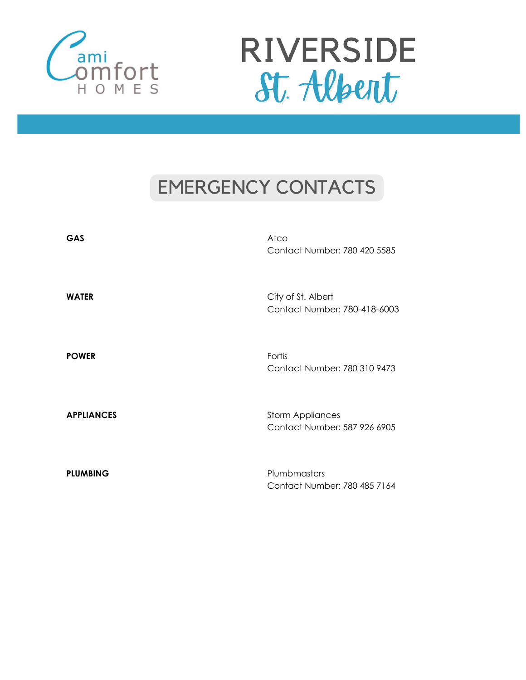



### **EMERGENCY CONTACTS**

| GAS               | Atco<br>Contact Number: 780 420 5585                    |
|-------------------|---------------------------------------------------------|
| <b>WATER</b>      | City of St. Albert<br>Contact Number: 780-418-6003      |
| <b>POWER</b>      | Fortis<br>Contact Number: 780 310 9473                  |
| <b>APPLIANCES</b> | <b>Storm Appliances</b><br>Contact Number: 587 926 6905 |
| <b>PLUMBING</b>   | Plumbmasters<br>Contact Number: 780 485 7164            |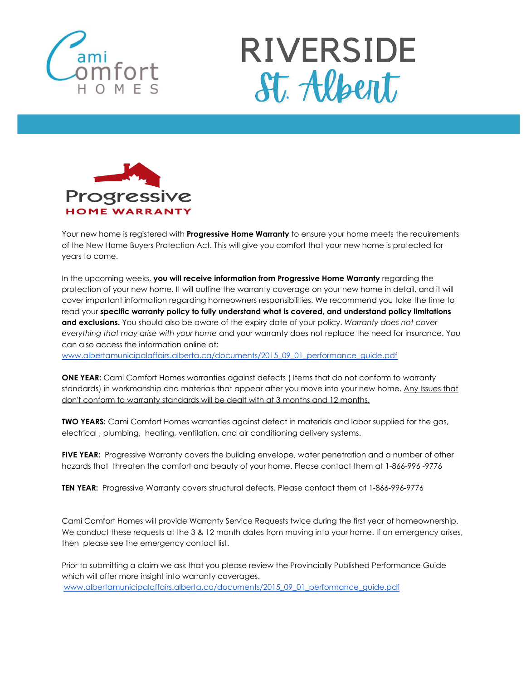





Your new home is registered with **Progressive Home Warranty** to ensure your home meets the requirements of the New Home Buyers Protection Act. This will give you comfort that your new home is protected for years to come.

In the upcoming weeks, **you will receive information from Progressive Home Warranty** regarding the protection of your new home. It will outline the warranty coverage on your new home in detail, and it will cover important information regarding homeowners responsibilities. We recommend you take the time to read your **specific warranty policy to fully understand what is covered, and understand policy limitations and exclusions.** You should also be aware of the expiry date of your policy. *Warranty does not cover everything that may arise with your home* and your warranty does not replace the need for insurance. You can also access the information online at:

[www.albertamunicipalaffairs.alberta.ca/documents/2015\\_09\\_01\\_performance\\_guide.pdf](http://www.albertamunicipalaffairs.alberta.ca/documents/2015_09_01_performance_guide.pdf)

**ONE YEAR:** Cami Comfort Homes warranties against defects ( Items that do not conform to warranty standards) in workmanship and materials that appear after you move into your new home. Any Issues that don't conform to warranty standards will be dealt with at 3 months and 12 months.

**TWO YEARS:** Cami Comfort Homes warranties against defect in materials and labor supplied for the gas, electrical , plumbing, heating, ventilation, and air conditioning delivery systems.

**FIVE YEAR:** Progressive Warranty covers the building envelope, water penetration and a number of other hazards that threaten the comfort and beauty of your home. Please contact them at 1-866-996 -9776

**TEN YEAR:** Progressive Warranty covers structural defects. Please contact them at 1-866-996-9776

Cami Comfort Homes will provide Warranty Service Requests twice during the first year of homeownership. We conduct these requests at the 3 & 12 month dates from moving into your home. If an emergency arises, then please see the emergency contact list.

Prior to submitting a claim we ask that you please review the Provincially Published Performance Guide which will offer more insight into warranty coverages. [www.albertamunicipalaffairs.alberta.ca/documents/2015\\_09\\_01\\_performance\\_guide.pdf](http://www.albertamunicipalaffairs.alberta.ca/documents/2015_09_01_performance_guide.pdf)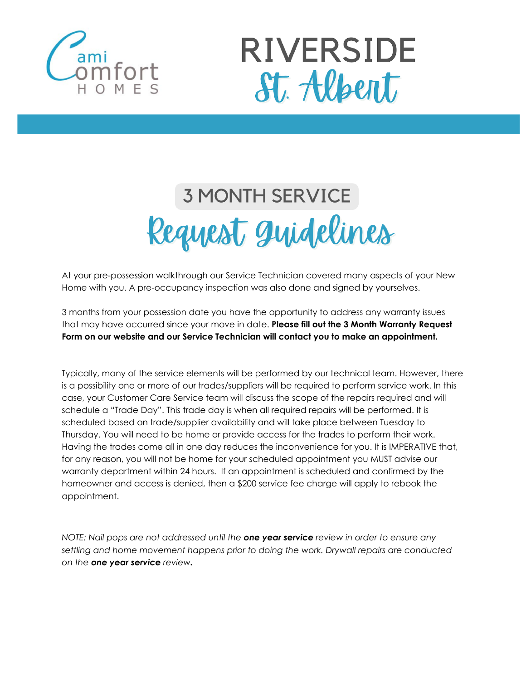



## **3 MONTH SERVICE** Request Quidelines

At your pre-possession walkthrough our Service Technician covered many aspects of your New Home with you. A pre-occupancy inspection was also done and signed by yourselves.

3 months from your possession date you have the opportunity to address any warranty issues that may have occurred since your move in date. **Please fill out the 3 Month Warranty Request Form on our website and our Service Technician will contact you to make an appointment.**

Typically, many of the service elements will be performed by our technical team. However, there is a possibility one or more of our trades/suppliers will be required to perform service work. In this case, your Customer Care Service team will discuss the scope of the repairs required and will schedule a "Trade Day". This trade day is when all required repairs will be performed. It is scheduled based on trade/supplier availability and will take place between Tuesday to Thursday. You will need to be home or provide access for the trades to perform their work. Having the trades come all in one day reduces the inconvenience for you. It is IMPERATIVE that, for any reason, you will not be home for your scheduled appointment you MUST advise our warranty department within 24 hours. If an appointment is scheduled and confirmed by the homeowner and access is denied, then a \$200 service fee charge will apply to rebook the appointment.

*NOTE: Nail pops are not addressed until the one year service review in order to ensure any settling and home movement happens prior to doing the work. Drywall repairs are conducted on the one year service review.*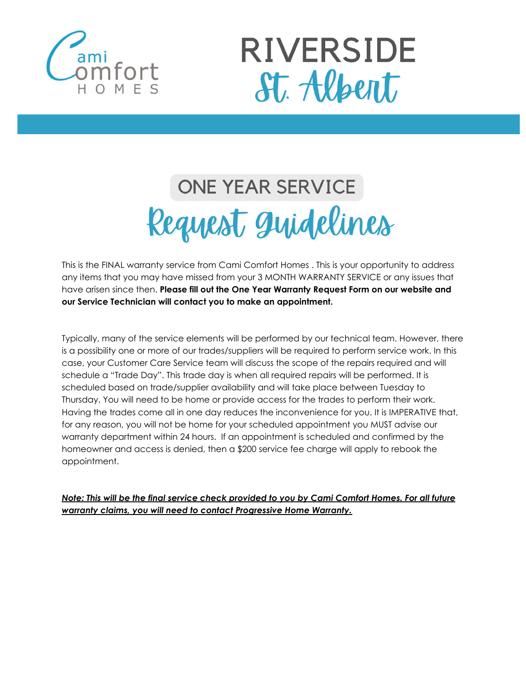



## ONE YEAR SERVICE Request Quidelines

This is the FINAL warranty service from Cami Comfort Homes . This is your opportunity to address any items that you may have missed from your 3 MONTH WARRANTY SERVICE or any issues that have arisen since then. **Please fill out the One Year Warranty Request Form on our website and our Service Technician will contact you to make an appointment.**

Typically, many of the service elements will be performed by our technical team. However, there is a possibility one or more of our trades/suppliers will be required to perform service work. In this case, your Customer Care Service team will discuss the scope of the repairs required and will schedule a "Trade Day". This trade day is when all required repairs will be performed. It is scheduled based on trade/supplier availability and will take place between Tuesday to Thursday. You will need to be home or provide access for the trades to perform their work. Having the trades come all in one day reduces the inconvenience for you. It is IMPERATIVE that, for any reason, you will not be home for your scheduled appointment you MUST advise our warranty department within 24 hours. If an appointment is scheduled and confirmed by the homeowner and access is denied, then a \$200 service fee charge will apply to rebook the appointment.

*Note: This will be the final service check provided to you by Cami Comfort Homes. For all future warranty claims, you will need to contact Progressive Home Warranty.*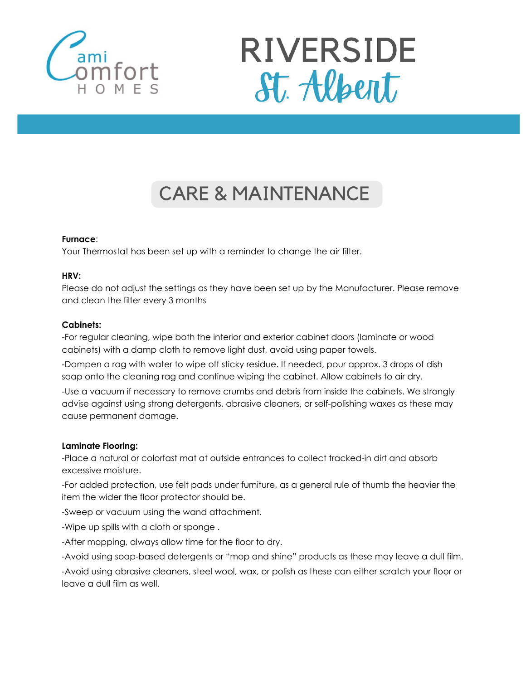



### **CARE & MAINTENANCE**

#### **Furnace**:

Your Thermostat has been set up with a reminder to change the air filter.

#### **HRV:**

Please do not adjust the settings as they have been set up by the Manufacturer. Please remove and clean the filter every 3 months

#### **Cabinets:**

-For regular cleaning, wipe both the interior and exterior cabinet doors (laminate or wood cabinets) with a damp cloth to remove light dust, avoid using paper towels.

-Dampen a rag with water to wipe off sticky residue. If needed, pour approx. 3 drops of dish soap onto the cleaning rag and continue wiping the cabinet. Allow cabinets to air dry.

-Use a vacuum if necessary to remove crumbs and debris from inside the cabinets. We strongly advise against using strong detergents, abrasive cleaners, or self-polishing waxes as these may cause permanent damage.

#### **Laminate Flooring:**

-Place a natural or colorfast mat at outside entrances to collect tracked-in dirt and absorb excessive moisture.

-For added protection, use felt pads under furniture, as a general rule of thumb the heavier the item the wider the floor protector should be.

-Sweep or vacuum using the wand attachment.

-Wipe up spills with a cloth or sponge .

-After mopping, always allow time for the floor to dry.

-Avoid using soap-based detergents or "mop and shine" products as these may leave a dull film.

-Avoid using abrasive cleaners, steel wool, wax, or polish as these can either scratch your floor or leave a dull film as well.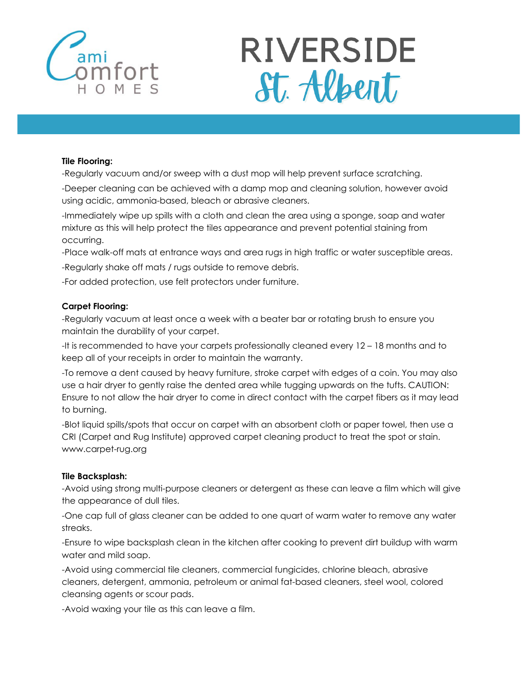

# **RIVERSIDE** St. Albert

#### **Tile Flooring:**

-Regularly vacuum and/or sweep with a dust mop will help prevent surface scratching.

-Deeper cleaning can be achieved with a damp mop and cleaning solution, however avoid using acidic, ammonia-based, bleach or abrasive cleaners.

-Immediately wipe up spills with a cloth and clean the area using a sponge, soap and water mixture as this will help protect the tiles appearance and prevent potential staining from occurring.

-Place walk-off mats at entrance ways and area rugs in high traffic or water susceptible areas.

-Regularly shake off mats / rugs outside to remove debris.

-For added protection, use felt protectors under furniture.

#### **Carpet Flooring:**

-Regularly vacuum at least once a week with a beater bar or rotating brush to ensure you maintain the durability of your carpet.

-It is recommended to have your carpets professionally cleaned every 12 – 18 months and to keep all of your receipts in order to maintain the warranty.

-To remove a dent caused by heavy furniture, stroke carpet with edges of a coin. You may also use a hair dryer to gently raise the dented area while tugging upwards on the tufts. CAUTION: Ensure to not allow the hair dryer to come in direct contact with the carpet fibers as it may lead to burning.

-Blot liquid spills/spots that occur on carpet with an absorbent cloth or paper towel, then use a CRI (Carpet and Rug Institute) approved carpet cleaning product to treat the spot or stain. www.carpet-rug.org

#### **Tile Backsplash:**

-Avoid using strong multi-purpose cleaners or detergent as these can leave a film which will give the appearance of dull tiles.

-One cap full of glass cleaner can be added to one quart of warm water to remove any water streaks.

-Ensure to wipe backsplash clean in the kitchen after cooking to prevent dirt buildup with warm water and mild soap.

-Avoid using commercial tile cleaners, commercial fungicides, chlorine bleach, abrasive cleaners, detergent, ammonia, petroleum or animal fat-based cleaners, steel wool, colored cleansing agents or scour pads.

-Avoid waxing your tile as this can leave a film.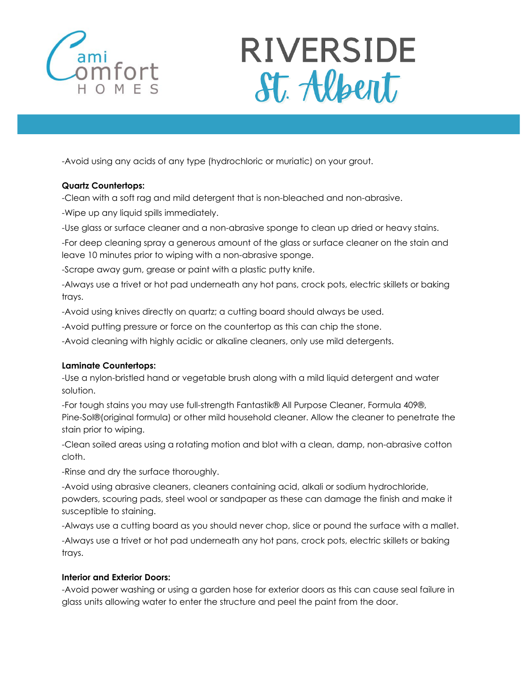

# **RIVERSIDE** St. Albert

-Avoid using any acids of any type (hydrochloric or muriatic) on your grout.

#### **Quartz Countertops:**

-Clean with a soft rag and mild detergent that is non-bleached and non-abrasive.

-Wipe up any liquid spills immediately.

-Use glass or surface cleaner and a non-abrasive sponge to clean up dried or heavy stains.

-For deep cleaning spray a generous amount of the glass or surface cleaner on the stain and leave 10 minutes prior to wiping with a non-abrasive sponge.

-Scrape away gum, grease or paint with a plastic putty knife.

-Always use a trivet or hot pad underneath any hot pans, crock pots, electric skillets or baking trays.

-Avoid using knives directly on quartz; a cutting board should always be used.

-Avoid putting pressure or force on the countertop as this can chip the stone.

-Avoid cleaning with highly acidic or alkaline cleaners, only use mild detergents.

#### **Laminate Countertops:**

-Use a nylon-bristled hand or vegetable brush along with a mild liquid detergent and water solution.

-For tough stains you may use full-strength Fantastik® All Purpose Cleaner, Formula 409®, Pine-Sol®(original formula) or other mild household cleaner. Allow the cleaner to penetrate the stain prior to wiping.

-Clean soiled areas using a rotating motion and blot with a clean, damp, non-abrasive cotton cloth.

-Rinse and dry the surface thoroughly.

-Avoid using abrasive cleaners, cleaners containing acid, alkali or sodium hydrochloride, powders, scouring pads, steel wool or sandpaper as these can damage the finish and make it susceptible to staining.

-Always use a cutting board as you should never chop, slice or pound the surface with a mallet. -Always use a trivet or hot pad underneath any hot pans, crock pots, electric skillets or baking trays.

#### **Interior and Exterior Doors:**

-Avoid power washing or using a garden hose for exterior doors as this can cause seal failure in glass units allowing water to enter the structure and peel the paint from the door.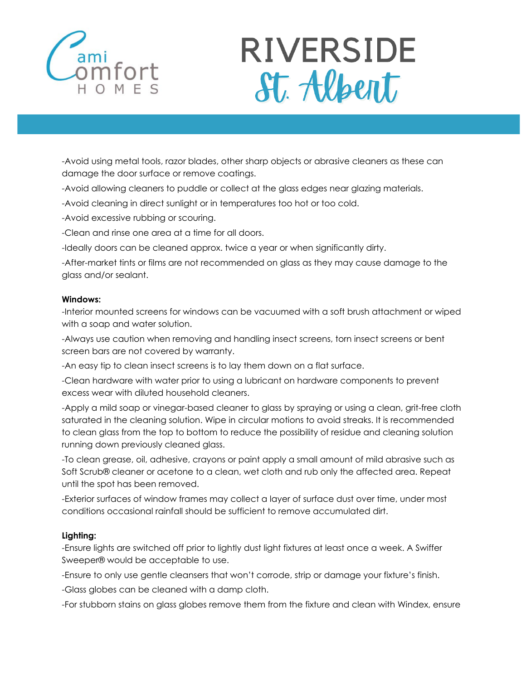

# **RIVERSIDE** St. Albent

-Avoid using metal tools, razor blades, other sharp objects or abrasive cleaners as these can damage the door surface or remove coatings.

-Avoid allowing cleaners to puddle or collect at the glass edges near glazing materials.

-Avoid cleaning in direct sunlight or in temperatures too hot or too cold.

-Avoid excessive rubbing or scouring.

-Clean and rinse one area at a time for all doors.

-Ideally doors can be cleaned approx. twice a year or when significantly dirty.

-After-market tints or films are not recommended on glass as they may cause damage to the glass and/or sealant.

#### **Windows:**

-Interior mounted screens for windows can be vacuumed with a soft brush attachment or wiped with a soap and water solution.

-Always use caution when removing and handling insect screens, torn insect screens or bent screen bars are not covered by warranty.

-An easy tip to clean insect screens is to lay them down on a flat surface.

-Clean hardware with water prior to using a lubricant on hardware components to prevent excess wear with diluted household cleaners.

-Apply a mild soap or vinegar-based cleaner to glass by spraying or using a clean, grit-free cloth saturated in the cleaning solution. Wipe in circular motions to avoid streaks. It is recommended to clean glass from the top to bottom to reduce the possibility of residue and cleaning solution running down previously cleaned glass.

-To clean grease, oil, adhesive, crayons or paint apply a small amount of mild abrasive such as Soft Scrub® cleaner or acetone to a clean, wet cloth and rub only the affected area. Repeat until the spot has been removed.

-Exterior surfaces of window frames may collect a layer of surface dust over time, under most conditions occasional rainfall should be sufficient to remove accumulated dirt.

#### **Lighting:**

-Ensure lights are switched off prior to lightly dust light fixtures at least once a week. A Swiffer Sweeper® would be acceptable to use.

-Ensure to only use gentle cleansers that won't corrode, strip or damage your fixture's finish.

-Glass globes can be cleaned with a damp cloth.

-For stubborn stains on glass globes remove them from the fixture and clean with Windex, ensure